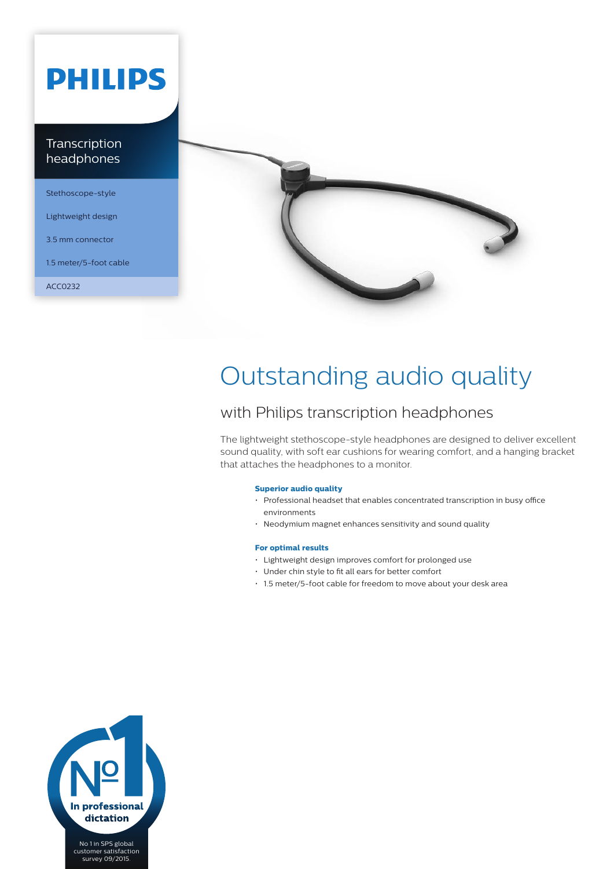# **PHILIPS**

### Transcription headphones

Stethoscope-style

Lightweight design

3.5 mm connector

1.5 meter/5-foot cable

ACC0232



## Outstanding audio quality

### with Philips transcription headphones

The lightweight stethoscope-style headphones are designed to deliver excellent sound quality, with soft ear cushions for wearing comfort, and a hanging bracket that attaches the headphones to a monitor.

#### **Superior audio quality**

- Professional headset that enables concentrated transcription in busy office environments
- Neodymium magnet enhances sensitivity and sound quality

#### **For optimal results**

- Lightweight design improves comfort for prolonged use
- Under chin style to fit all ears for better comfort
- 1.5 meter/5-foot cable for freedom to move about your desk area